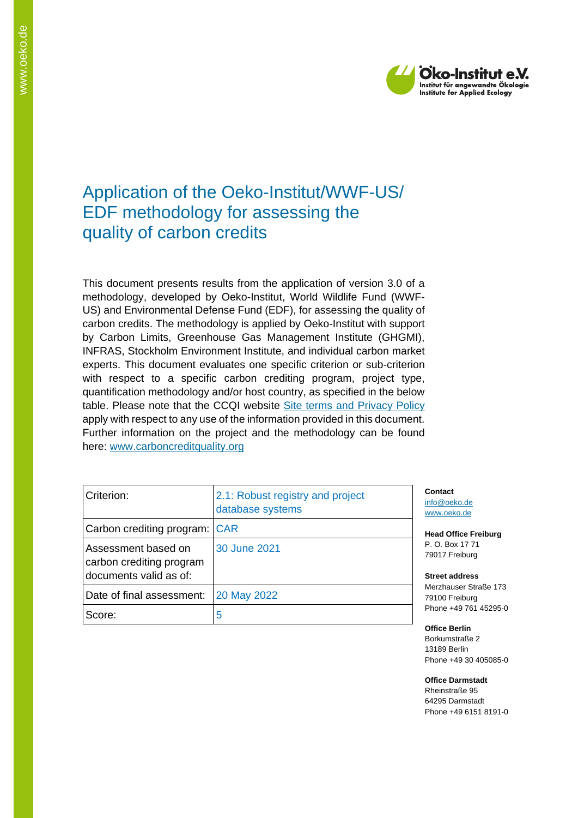

## Application of the Oeko-Institut/WWF-US/ EDF methodology for assessing the quality of carbon credits

This document presents results from the application of version 3.0 of a methodology, developed by Oeko-Institut, World Wildlife Fund (WWF-US) and Environmental Defense Fund (EDF), for assessing the quality of carbon credits. The methodology is applied by Oeko-Institut with support by Carbon Limits, Greenhouse Gas Management Institute (GHGMI), INFRAS, Stockholm Environment Institute, and individual carbon market experts. This document evaluates one specific criterion or sub-criterion with respect to a specific carbon crediting program, project type, quantification methodology and/or host country, as specified in the below table. Please note that the CCQI website [Site terms and Privacy Policy](https://carboncreditquality.org/terms.html) apply with respect to any use of the information provided in this document. Further information on the project and the methodology can be found here: [www.carboncreditquality.org](http://www.carboncreditquality.org/)

| Criterion:                                                                | 2.1: Robust registry and project<br>database systems | Contact<br>info@oe<br>www.oel   |
|---------------------------------------------------------------------------|------------------------------------------------------|---------------------------------|
| Carbon crediting program: CAR                                             |                                                      | Head Of                         |
| Assessment based on<br>carbon crediting program<br>documents valid as of: | 30 June 2021                                         | P. O. Bo<br>79017 F<br>Street a |
| Date of final assessment:                                                 | 20 May 2022                                          | Merzhau<br>79100 F              |
| Score:                                                                    | 5                                                    | Phone +                         |

iko.de ko.de

**Head Freiburg** P. O. Box 17 71 reiburg<sup>:</sup>

**Street address** user Straße 173 reiburg<sup>:</sup> Phone +49 761 45295-0

**Office Berlin** Borkumstraße 2 13189 Berlin Phone +49 30 405085-0

**Office Darmstadt** Rheinstraße 95 64295 Darmstadt Phone +49 6151 8191-0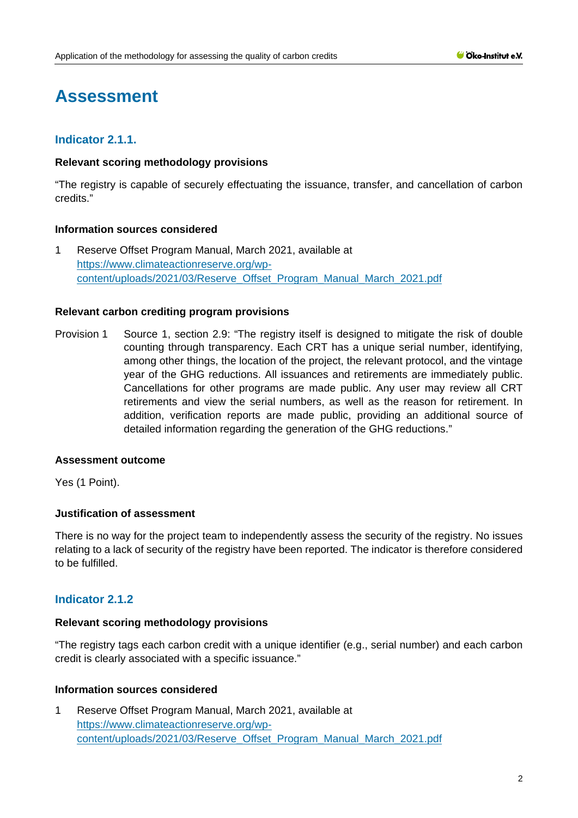# **Assessment**

## **Indicator 2.1.1.**

#### **Relevant scoring methodology provisions**

"The registry is capable of securely effectuating the issuance, transfer, and cancellation of carbon credits."

#### **Information sources considered**

1 Reserve Offset Program Manual, March 2021, available at [https://www.climateactionreserve.org/wp](https://www.climateactionreserve.org/wp-content/uploads/2021/03/Reserve_Offset_Program_Manual_March_2021.pdf)[content/uploads/2021/03/Reserve\\_Offset\\_Program\\_Manual\\_March\\_2021.pdf](https://www.climateactionreserve.org/wp-content/uploads/2021/03/Reserve_Offset_Program_Manual_March_2021.pdf)

#### **Relevant carbon crediting program provisions**

Provision 1 Source 1, section 2.9: "The registry itself is designed to mitigate the risk of double counting through transparency. Each CRT has a unique serial number, identifying, among other things, the location of the project, the relevant protocol, and the vintage year of the GHG reductions. All issuances and retirements are immediately public. Cancellations for other programs are made public. Any user may review all CRT retirements and view the serial numbers, as well as the reason for retirement. In addition, verification reports are made public, providing an additional source of detailed information regarding the generation of the GHG reductions."

#### **Assessment outcome**

Yes (1 Point).

#### **Justification of assessment**

There is no way for the project team to independently assess the security of the registry. No issues relating to a lack of security of the registry have been reported. The indicator is therefore considered to be fulfilled.

## **Indicator 2.1.2**

#### **Relevant scoring methodology provisions**

"The registry tags each carbon credit with a unique identifier (e.g., serial number) and each carbon credit is clearly associated with a specific issuance."

#### **Information sources considered**

1 Reserve Offset Program Manual, March 2021, available at [https://www.climateactionreserve.org/wp](https://www.climateactionreserve.org/wp-content/uploads/2021/03/Reserve_Offset_Program_Manual_March_2021.pdf)[content/uploads/2021/03/Reserve\\_Offset\\_Program\\_Manual\\_March\\_2021.pdf](https://www.climateactionreserve.org/wp-content/uploads/2021/03/Reserve_Offset_Program_Manual_March_2021.pdf)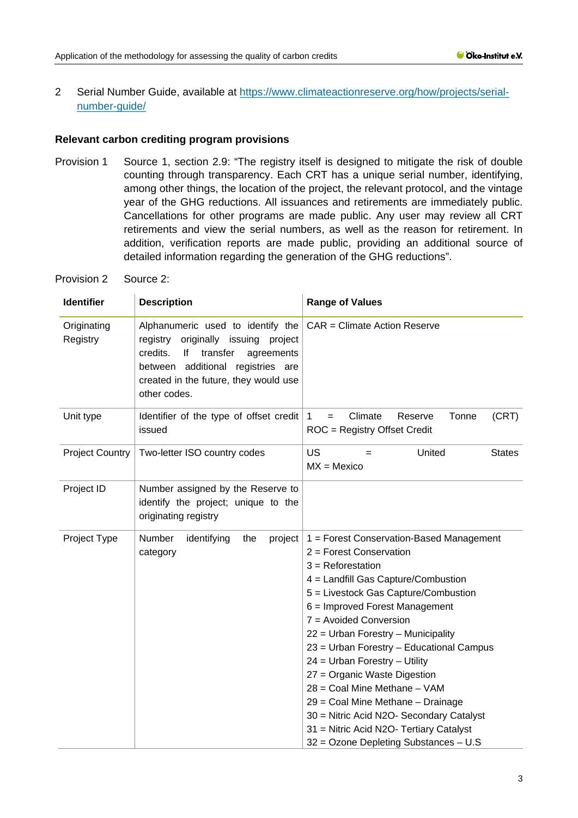2 Serial Number Guide, available at [https://www.climateactionreserve.org/how/projects/serial](https://www.climateactionreserve.org/how/projects/serial-number-guide/)[number-guide/](https://www.climateactionreserve.org/how/projects/serial-number-guide/)

#### **Relevant carbon crediting program provisions**

- Provision 1 Source 1, section 2.9: "The registry itself is designed to mitigate the risk of double counting through transparency. Each CRT has a unique serial number, identifying, among other things, the location of the project, the relevant protocol, and the vintage year of the GHG reductions. All issuances and retirements are immediately public. Cancellations for other programs are made public. Any user may review all CRT retirements and view the serial numbers, as well as the reason for retirement. In addition, verification reports are made public, providing an additional source of detailed information regarding the generation of the GHG reductions".
- Provision 2 Source 2:

| <b>Identifier</b>       | <b>Description</b>                                                                                                                                                                                                 | <b>Range of Values</b>                                                                                                                                                                                                                                                                                                                                                                                                                                                                                                                                                                          |  |
|-------------------------|--------------------------------------------------------------------------------------------------------------------------------------------------------------------------------------------------------------------|-------------------------------------------------------------------------------------------------------------------------------------------------------------------------------------------------------------------------------------------------------------------------------------------------------------------------------------------------------------------------------------------------------------------------------------------------------------------------------------------------------------------------------------------------------------------------------------------------|--|
| Originating<br>Registry | Alphanumeric used to identify the<br>registry originally issuing project<br>transfer<br>credits.<br>lf<br>agreements<br>between additional registries are<br>created in the future, they would use<br>other codes. | CAR = Climate Action Reserve                                                                                                                                                                                                                                                                                                                                                                                                                                                                                                                                                                    |  |
| Unit type               | Identifier of the type of offset credit<br>issued                                                                                                                                                                  | Climate<br>$\mathbf{1}$<br>Reserve<br>Tonne<br>(CRT)<br>$=$<br>ROC = Registry Offset Credit                                                                                                                                                                                                                                                                                                                                                                                                                                                                                                     |  |
| <b>Project Country</b>  | Two-letter ISO country codes                                                                                                                                                                                       | US<br><b>States</b><br>United<br>=<br>$MX = Mexico$                                                                                                                                                                                                                                                                                                                                                                                                                                                                                                                                             |  |
| Project ID              | Number assigned by the Reserve to<br>identify the project; unique to the<br>originating registry                                                                                                                   |                                                                                                                                                                                                                                                                                                                                                                                                                                                                                                                                                                                                 |  |
| Project Type            | Number<br>identifying<br>the<br>project<br>category                                                                                                                                                                | 1 = Forest Conservation-Based Management<br>2 = Forest Conservation<br>$3 =$ Reforestation<br>4 = Landfill Gas Capture/Combustion<br>5 = Livestock Gas Capture/Combustion<br>6 = Improved Forest Management<br>7 = Avoided Conversion<br>22 = Urban Forestry - Municipality<br>23 = Urban Forestry - Educational Campus<br>$24$ = Urban Forestry - Utility<br>27 = Organic Waste Digestion<br>28 = Coal Mine Methane - VAM<br>29 = Coal Mine Methane - Drainage<br>30 = Nitric Acid N2O- Secondary Catalyst<br>31 = Nitric Acid N2O- Tertiary Catalyst<br>32 = Ozone Depleting Substances - U.S |  |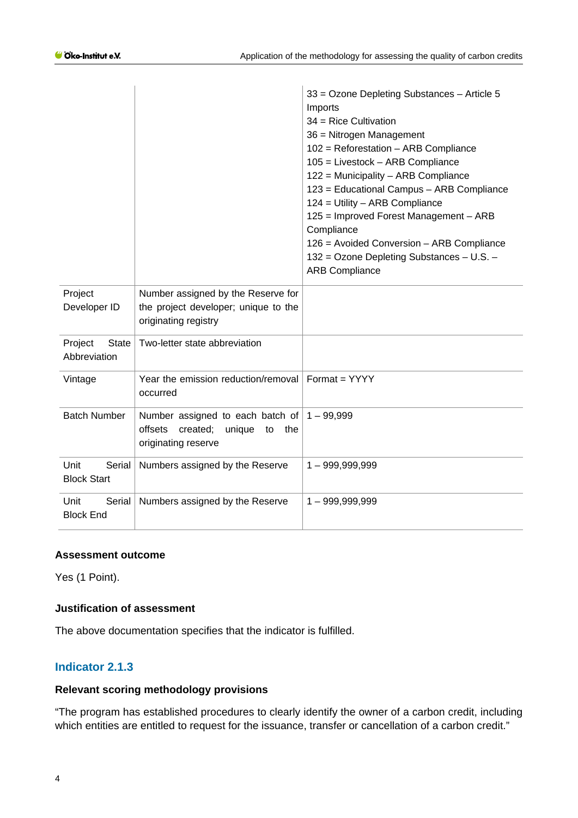|                                         |                                                                                                       | 33 = Ozone Depleting Substances - Article 5<br>Imports<br>$34$ = Rice Cultivation<br>36 = Nitrogen Management<br>$102$ = Reforestation - ARB Compliance<br>$105$ = Livestock - ARB Compliance<br>122 = Municipality - ARB Compliance<br>123 = Educational Campus - ARB Compliance<br>124 = Utility - ARB Compliance<br>125 = Improved Forest Management - ARB<br>Compliance<br>126 = Avoided Conversion - ARB Compliance<br>132 = Ozone Depleting Substances - U.S. -<br><b>ARB Compliance</b> |
|-----------------------------------------|-------------------------------------------------------------------------------------------------------|------------------------------------------------------------------------------------------------------------------------------------------------------------------------------------------------------------------------------------------------------------------------------------------------------------------------------------------------------------------------------------------------------------------------------------------------------------------------------------------------|
| Project<br>Developer ID                 | Number assigned by the Reserve for<br>the project developer; unique to the<br>originating registry    |                                                                                                                                                                                                                                                                                                                                                                                                                                                                                                |
| Project<br><b>State</b><br>Abbreviation | Two-letter state abbreviation                                                                         |                                                                                                                                                                                                                                                                                                                                                                                                                                                                                                |
| Vintage                                 | Year the emission reduction/removal   Format = $YYYY$<br>occurred                                     |                                                                                                                                                                                                                                                                                                                                                                                                                                                                                                |
| <b>Batch Number</b>                     | Number assigned to each batch of<br>offsets<br>created;<br>unique<br>the<br>to<br>originating reserve | $1 - 99,999$                                                                                                                                                                                                                                                                                                                                                                                                                                                                                   |
| Unit<br>Serial<br><b>Block Start</b>    | Numbers assigned by the Reserve                                                                       | $1 - 999,999,999$                                                                                                                                                                                                                                                                                                                                                                                                                                                                              |
| Unit<br>Serial<br><b>Block End</b>      | Numbers assigned by the Reserve                                                                       | $1 - 999,999,999$                                                                                                                                                                                                                                                                                                                                                                                                                                                                              |

### **Assessment outcome**

Yes (1 Point).

#### **Justification of assessment**

The above documentation specifies that the indicator is fulfilled.

## **Indicator 2.1.3**

#### **Relevant scoring methodology provisions**

"The program has established procedures to clearly identify the owner of a carbon credit, including which entities are entitled to request for the issuance, transfer or cancellation of a carbon credit."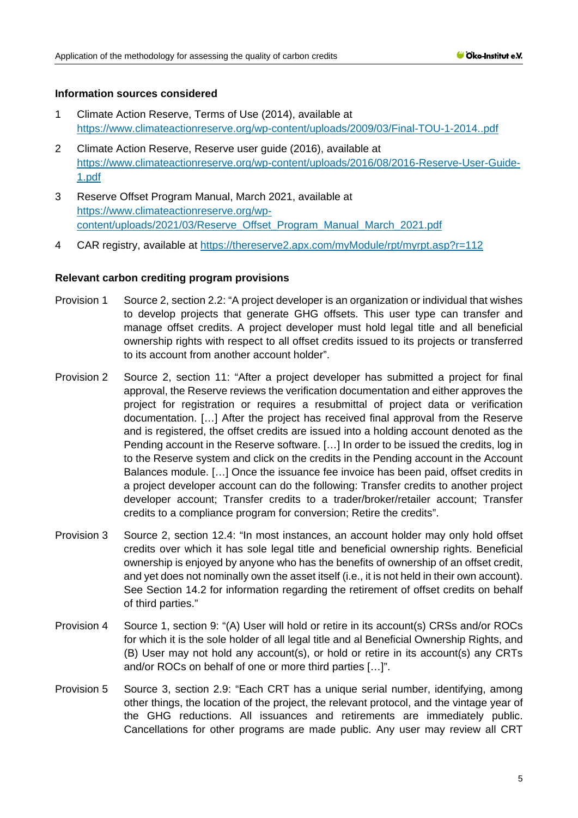#### **Information sources considered**

- 1 Climate Action Reserve, Terms of Use (2014), available at <https://www.climateactionreserve.org/wp-content/uploads/2009/03/Final-TOU-1-2014..pdf>
- 2 Climate Action Reserve, Reserve user guide (2016), available at [https://www.climateactionreserve.org/wp-content/uploads/2016/08/2016-Reserve-User-Guide-](https://www.climateactionreserve.org/wp-content/uploads/2016/08/2016-Reserve-User-Guide-1.pdf)[1.pdf](https://www.climateactionreserve.org/wp-content/uploads/2016/08/2016-Reserve-User-Guide-1.pdf)
- 3 Reserve Offset Program Manual, March 2021, available at [https://www.climateactionreserve.org/wp](https://www.climateactionreserve.org/wp-content/uploads/2021/03/Reserve_Offset_Program_Manual_March_2021.pdf)[content/uploads/2021/03/Reserve\\_Offset\\_Program\\_Manual\\_March\\_2021.pdf](https://www.climateactionreserve.org/wp-content/uploads/2021/03/Reserve_Offset_Program_Manual_March_2021.pdf)
- 4 CAR registry, available at<https://thereserve2.apx.com/myModule/rpt/myrpt.asp?r=112>

#### **Relevant carbon crediting program provisions**

- Provision 1 Source 2, section 2.2: "A project developer is an organization or individual that wishes to develop projects that generate GHG offsets. This user type can transfer and manage offset credits. A project developer must hold legal title and all beneficial ownership rights with respect to all offset credits issued to its projects or transferred to its account from another account holder".
- Provision 2 Source 2, section 11: "After a project developer has submitted a project for final approval, the Reserve reviews the verification documentation and either approves the project for registration or requires a resubmittal of project data or verification documentation. […] After the project has received final approval from the Reserve and is registered, the offset credits are issued into a holding account denoted as the Pending account in the Reserve software. […] In order to be issued the credits, log in to the Reserve system and click on the credits in the Pending account in the Account Balances module. […] Once the issuance fee invoice has been paid, offset credits in a project developer account can do the following: Transfer credits to another project developer account; Transfer credits to a trader/broker/retailer account; Transfer credits to a compliance program for conversion; Retire the credits".
- Provision 3 Source 2, section 12.4: "In most instances, an account holder may only hold offset credits over which it has sole legal title and beneficial ownership rights. Beneficial ownership is enjoyed by anyone who has the benefits of ownership of an offset credit, and yet does not nominally own the asset itself (i.e., it is not held in their own account). See Section 14.2 for information regarding the retirement of offset credits on behalf of third parties."
- Provision 4 Source 1, section 9: "(A) User will hold or retire in its account(s) CRSs and/or ROCs for which it is the sole holder of all legal title and al Beneficial Ownership Rights, and (B) User may not hold any account(s), or hold or retire in its account(s) any CRTs and/or ROCs on behalf of one or more third parties […]".
- Provision 5 Source 3, section 2.9: "Each CRT has a unique serial number, identifying, among other things, the location of the project, the relevant protocol, and the vintage year of the GHG reductions. All issuances and retirements are immediately public. Cancellations for other programs are made public. Any user may review all CRT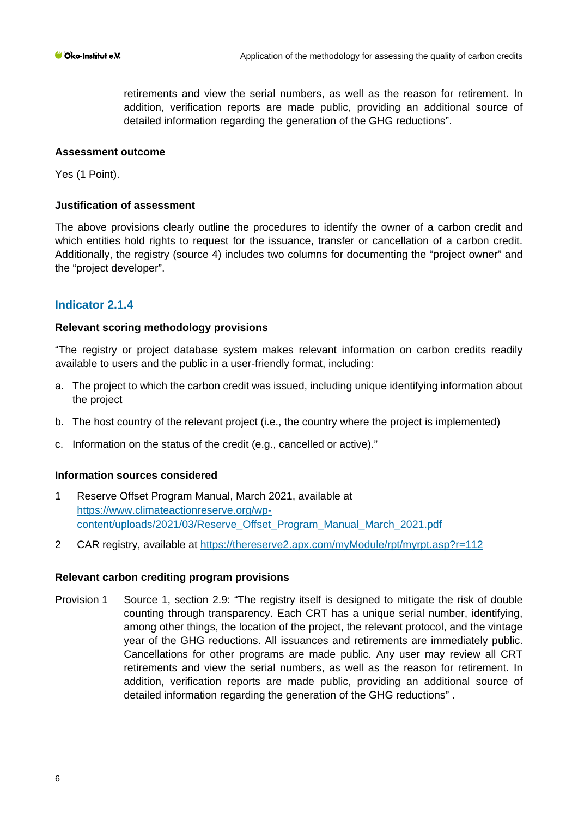retirements and view the serial numbers, as well as the reason for retirement. In addition, verification reports are made public, providing an additional source of detailed information regarding the generation of the GHG reductions".

#### **Assessment outcome**

Yes (1 Point).

#### **Justification of assessment**

The above provisions clearly outline the procedures to identify the owner of a carbon credit and which entities hold rights to request for the issuance, transfer or cancellation of a carbon credit. Additionally, the registry (source 4) includes two columns for documenting the "project owner" and the "project developer".

### **Indicator 2.1.4**

#### **Relevant scoring methodology provisions**

"The registry or project database system makes relevant information on carbon credits readily available to users and the public in a user-friendly format, including:

- a. The project to which the carbon credit was issued, including unique identifying information about the project
- b. The host country of the relevant project (i.e., the country where the project is implemented)
- c. Information on the status of the credit (e.g., cancelled or active)."

#### **Information sources considered**

- 1 Reserve Offset Program Manual, March 2021, available at [https://www.climateactionreserve.org/wp](https://www.climateactionreserve.org/wp-content/uploads/2021/03/Reserve_Offset_Program_Manual_March_2021.pdf)[content/uploads/2021/03/Reserve\\_Offset\\_Program\\_Manual\\_March\\_2021.pdf](https://www.climateactionreserve.org/wp-content/uploads/2021/03/Reserve_Offset_Program_Manual_March_2021.pdf)
- 2 CAR registry, available at<https://thereserve2.apx.com/myModule/rpt/myrpt.asp?r=112>

#### **Relevant carbon crediting program provisions**

Provision 1 Source 1, section 2.9: "The registry itself is designed to mitigate the risk of double counting through transparency. Each CRT has a unique serial number, identifying, among other things, the location of the project, the relevant protocol, and the vintage year of the GHG reductions. All issuances and retirements are immediately public. Cancellations for other programs are made public. Any user may review all CRT retirements and view the serial numbers, as well as the reason for retirement. In addition, verification reports are made public, providing an additional source of detailed information regarding the generation of the GHG reductions" .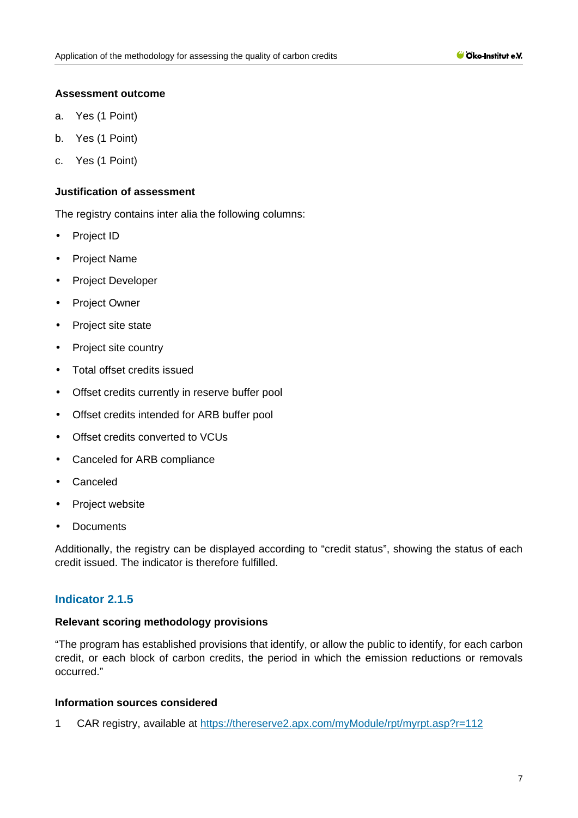#### **Assessment outcome**

- a. Yes (1 Point)
- b. Yes (1 Point)
- c. Yes (1 Point)

#### **Justification of assessment**

The registry contains inter alia the following columns:

- t. Project ID
- $\mathbf{r}$ Project Name
- $\mathbf{r}$ Project Developer
- $\mathbf{r}$ Project Owner
- Project site state  $\mathcal{L}^{\mathcal{L}}$
- Project site country  $\mathbf{r}$
- Total offset credits issued  $\mathbb{R}^2$
- Offset credits currently in reserve buffer pool  $\mathcal{L}^{\text{max}}$
- Offset credits intended for ARB buffer pool  $\mathbf{r}$
- Offset credits converted to VCUs  $\mathbf{r}$
- Canceled for ARB compliance  $\sim$
- Canceled
- ä, Project website
- **Documents**

Additionally, the registry can be displayed according to "credit status", showing the status of each credit issued. The indicator is therefore fulfilled.

#### **Indicator 2.1.5**

#### **Relevant scoring methodology provisions**

"The program has established provisions that identify, or allow the public to identify, for each carbon credit, or each block of carbon credits, the period in which the emission reductions or removals occurred."

#### **Information sources considered**

1 CAR registry, available at<https://thereserve2.apx.com/myModule/rpt/myrpt.asp?r=112>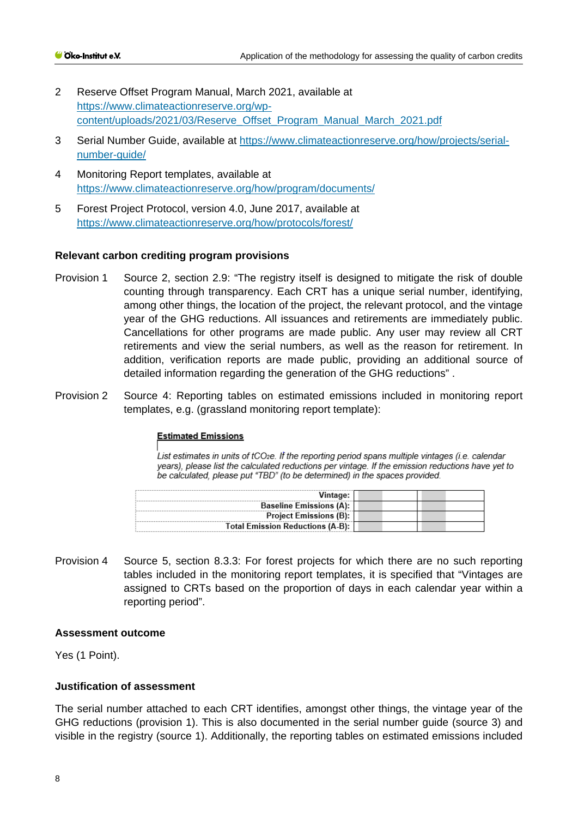- 2 Reserve Offset Program Manual, March 2021, available at [https://www.climateactionreserve.org/wp](https://www.climateactionreserve.org/wp-content/uploads/2021/03/Reserve_Offset_Program_Manual_March_2021.pdf)[content/uploads/2021/03/Reserve\\_Offset\\_Program\\_Manual\\_March\\_2021.pdf](https://www.climateactionreserve.org/wp-content/uploads/2021/03/Reserve_Offset_Program_Manual_March_2021.pdf)
- 3 Serial Number Guide, available at [https://www.climateactionreserve.org/how/projects/serial](https://www.climateactionreserve.org/how/projects/serial-number-guide/)[number-guide/](https://www.climateactionreserve.org/how/projects/serial-number-guide/)
- 4 Monitoring Report templates, available at <https://www.climateactionreserve.org/how/program/documents/>
- 5 Forest Project Protocol, version 4.0, June 2017, available at <https://www.climateactionreserve.org/how/protocols/forest/>

#### **Relevant carbon crediting program provisions**

- Provision 1 Source 2, section 2.9: "The registry itself is designed to mitigate the risk of double counting through transparency. Each CRT has a unique serial number, identifying, among other things, the location of the project, the relevant protocol, and the vintage year of the GHG reductions. All issuances and retirements are immediately public. Cancellations for other programs are made public. Any user may review all CRT retirements and view the serial numbers, as well as the reason for retirement. In addition, verification reports are made public, providing an additional source of detailed information regarding the generation of the GHG reductions" .
- Provision 2 Source 4: Reporting tables on estimated emissions included in monitoring report templates, e.g. (grassland monitoring report template):

#### **Estimated Emissions**

List estimates in units of tCO<sub>2</sub>e. If the reporting period spans multiple vintages (i.e. calendar years), please list the calculated reductions per vintage. If the emission reductions have yet to be calculated, please put "TBD" (to be determined) in the spaces provided.

| Vintage:                         |  |
|----------------------------------|--|
| <b>Baseline Emissions (A):</b>   |  |
| Project Emissions (B):           |  |
| Total Emission Reductions (A-B): |  |

Provision 4 Source 5, section 8.3.3: For forest projects for which there are no such reporting tables included in the monitoring report templates, it is specified that "Vintages are assigned to CRTs based on the proportion of days in each calendar year within a reporting period".

#### **Assessment outcome**

Yes (1 Point).

#### **Justification of assessment**

The serial number attached to each CRT identifies, amongst other things, the vintage year of the GHG reductions (provision 1). This is also documented in the serial number guide (source 3) and visible in the registry (source 1). Additionally, the reporting tables on estimated emissions included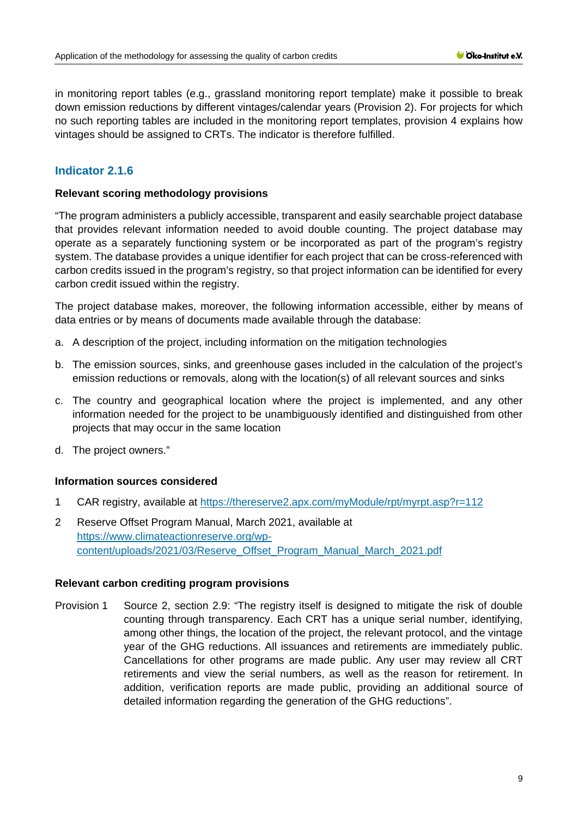in monitoring report tables (e.g., grassland monitoring report template) make it possible to break down emission reductions by different vintages/calendar years (Provision 2). For projects for which no such reporting tables are included in the monitoring report templates, provision 4 explains how vintages should be assigned to CRTs. The indicator is therefore fulfilled.

## **Indicator 2.1.6**

#### **Relevant scoring methodology provisions**

"The program administers a publicly accessible, transparent and easily searchable project database that provides relevant information needed to avoid double counting. The project database may operate as a separately functioning system or be incorporated as part of the program's registry system. The database provides a unique identifier for each project that can be cross-referenced with carbon credits issued in the program's registry, so that project information can be identified for every carbon credit issued within the registry.

The project database makes, moreover, the following information accessible, either by means of data entries or by means of documents made available through the database:

- a. A description of the project, including information on the mitigation technologies
- b. The emission sources, sinks, and greenhouse gases included in the calculation of the project's emission reductions or removals, along with the location(s) of all relevant sources and sinks
- c. The country and geographical location where the project is implemented, and any other information needed for the project to be unambiguously identified and distinguished from other projects that may occur in the same location
- d. The project owners."

#### **Information sources considered**

- 1 CAR registry, available at<https://thereserve2.apx.com/myModule/rpt/myrpt.asp?r=112>
- 2 Reserve Offset Program Manual, March 2021, available at [https://www.climateactionreserve.org/wp](https://www.climateactionreserve.org/wp-content/uploads/2021/03/Reserve_Offset_Program_Manual_March_2021.pdf)[content/uploads/2021/03/Reserve\\_Offset\\_Program\\_Manual\\_March\\_2021.pdf](https://www.climateactionreserve.org/wp-content/uploads/2021/03/Reserve_Offset_Program_Manual_March_2021.pdf)

#### **Relevant carbon crediting program provisions**

Provision 1 Source 2, section 2.9: "The registry itself is designed to mitigate the risk of double counting through transparency. Each CRT has a unique serial number, identifying, among other things, the location of the project, the relevant protocol, and the vintage year of the GHG reductions. All issuances and retirements are immediately public. Cancellations for other programs are made public. Any user may review all CRT retirements and view the serial numbers, as well as the reason for retirement. In addition, verification reports are made public, providing an additional source of detailed information regarding the generation of the GHG reductions".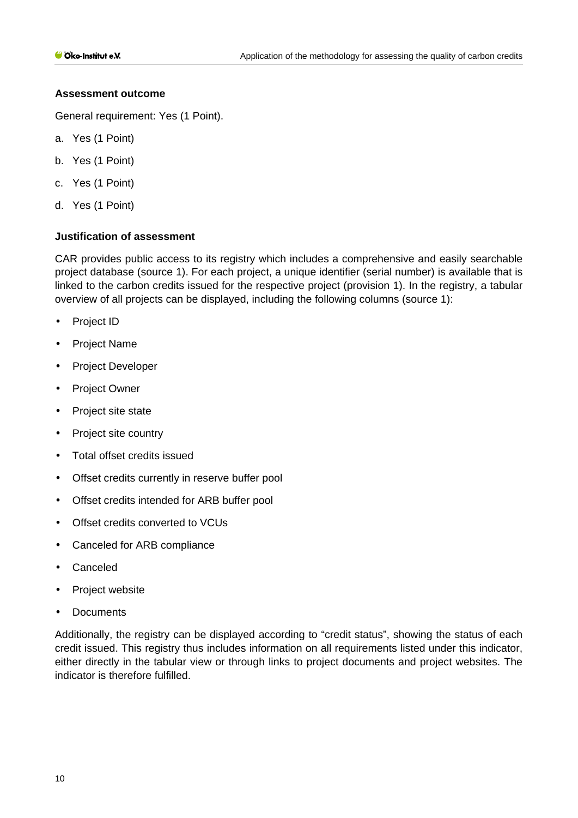#### **Assessment outcome**

General requirement: Yes (1 Point).

- a. Yes (1 Point)
- b. Yes (1 Point)
- c. Yes (1 Point)
- d. Yes (1 Point)

#### **Justification of assessment**

CAR provides public access to its registry which includes a comprehensive and easily searchable project database (source 1). For each project, a unique identifier (serial number) is available that is linked to the carbon credits issued for the respective project (provision 1). In the registry, a tabular overview of all projects can be displayed, including the following columns (source 1):

- Project ID t.
- Project Name
- Project Developer ÷.
- Project Owner  $\mathbf{r}$
- Project site state  $\mathbf{r}$
- Project site country t.
- Total offset credits issued
- Offset credits currently in reserve buffer pool
- Offset credits intended for ARB buffer pool  $\mathbf{r}$
- Offset credits converted to VCUs
- Canceled for ARB compliance  $\mathbf{r}^{\prime}$
- Canceled
- Project website ä,
- **Documents**

Additionally, the registry can be displayed according to "credit status", showing the status of each credit issued. This registry thus includes information on all requirements listed under this indicator, either directly in the tabular view or through links to project documents and project websites. The indicator is therefore fulfilled.